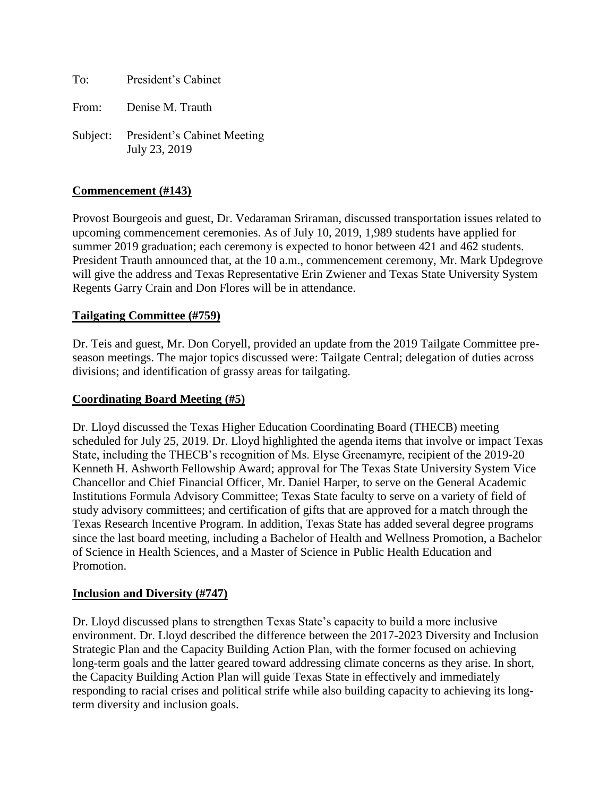To: President's Cabinet

From: Denise M. Trauth

Subject: President's Cabinet Meeting July 23, 2019

### **Commencement (#143)**

Provost Bourgeois and guest, Dr. Vedaraman Sriraman, discussed transportation issues related to upcoming commencement ceremonies. As of July 10, 2019, 1,989 students have applied for summer 2019 graduation; each ceremony is expected to honor between 421 and 462 students. President Trauth announced that, at the 10 a.m., commencement ceremony, Mr. Mark Updegrove will give the address and Texas Representative Erin Zwiener and Texas State University System Regents Garry Crain and Don Flores will be in attendance.

#### **Tailgating Committee (#759)**

Dr. Teis and guest, Mr. Don Coryell, provided an update from the 2019 Tailgate Committee preseason meetings. The major topics discussed were: Tailgate Central; delegation of duties across divisions; and identification of grassy areas for tailgating.

#### **Coordinating Board Meeting (#5)**

Dr. Lloyd discussed the Texas Higher Education Coordinating Board (THECB) meeting scheduled for July 25, 2019. Dr. Lloyd highlighted the agenda items that involve or impact Texas State, including the THECB's recognition of Ms. Elyse Greenamyre, recipient of the 2019-20 Kenneth H. Ashworth Fellowship Award; approval for The Texas State University System Vice Chancellor and Chief Financial Officer, Mr. Daniel Harper, to serve on the General Academic Institutions Formula Advisory Committee; Texas State faculty to serve on a variety of field of study advisory committees; and certification of gifts that are approved for a match through the Texas Research Incentive Program. In addition, Texas State has added several degree programs since the last board meeting, including a Bachelor of Health and Wellness Promotion, a Bachelor of Science in Health Sciences, and a Master of Science in Public Health Education and Promotion.

#### **Inclusion and Diversity (#747)**

Dr. Lloyd discussed plans to strengthen Texas State's capacity to build a more inclusive environment. Dr. Lloyd described the difference between the 2017-2023 Diversity and Inclusion Strategic Plan and the Capacity Building Action Plan, with the former focused on achieving long-term goals and the latter geared toward addressing climate concerns as they arise. In short, the Capacity Building Action Plan will guide Texas State in effectively and immediately responding to racial crises and political strife while also building capacity to achieving its longterm diversity and inclusion goals.